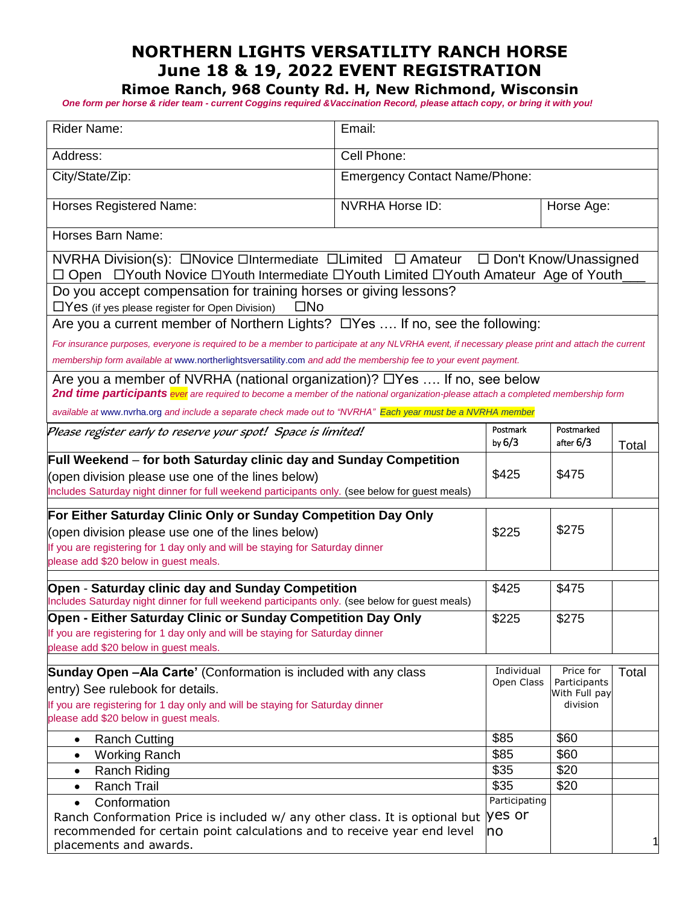# **NORTHERN LIGHTS VERSATILITY RANCH HORSE June 18 & 19, 2022 EVENT REGISTRATION**

**Rimoe Ranch, 968 County Rd. H, New Richmond, Wisconsin**

 *One form per horse & rider team - current Coggins required &Vaccination Record, please attach copy, or bring it with you!*

| Rider Name:                                                                                                                                                                    | Email:                               |                      |                               |       |  |  |
|--------------------------------------------------------------------------------------------------------------------------------------------------------------------------------|--------------------------------------|----------------------|-------------------------------|-------|--|--|
| Address:                                                                                                                                                                       | Cell Phone:                          |                      |                               |       |  |  |
| City/State/Zip:                                                                                                                                                                | <b>Emergency Contact Name/Phone:</b> |                      |                               |       |  |  |
| <b>Horses Registered Name:</b>                                                                                                                                                 | <b>NVRHA Horse ID:</b>               |                      | Horse Age:                    |       |  |  |
| Horses Barn Name:                                                                                                                                                              |                                      |                      |                               |       |  |  |
| NVRHA Division(s): □Novice □Intermediate □Limited □ Amateur □ Don't Know/Unassigned<br>□ Open □ Youth Novice □ Youth Intermediate □ Youth Limited □ Youth Amateur Age of Youth |                                      |                      |                               |       |  |  |
| Do you accept compensation for training horses or giving lessons?<br>$\Box$ Yes (if yes please register for Open Division)<br>⊟No                                              |                                      |                      |                               |       |  |  |
| Are you a current member of Northern Lights? □ Yes  If no, see the following:                                                                                                  |                                      |                      |                               |       |  |  |
| For insurance purposes, everyone is required to be a member to participate at any NLVRHA event, if necessary please print and attach the current                               |                                      |                      |                               |       |  |  |
| membership form available at www.northerlightsversatility.com and add the membership fee to your event payment.                                                                |                                      |                      |                               |       |  |  |
| Are you a member of NVRHA (national organization)? $\Box$ Yes  If no, see below                                                                                                |                                      |                      |                               |       |  |  |
| 2nd time participants ever are required to become a member of the national organization-please attach a completed membership form                                              |                                      |                      |                               |       |  |  |
| available at www.nvrha.org and include a separate check made out to "NVRHA" Each year must be a NVRHA member                                                                   |                                      |                      |                               |       |  |  |
| Please register early to reserve your spot! Space is limited!                                                                                                                  |                                      | Postmark<br>by $6/3$ | Postmarked<br>after $6/3$     | Total |  |  |
| Full Weekend – for both Saturday clinic day and Sunday Competition                                                                                                             |                                      |                      |                               |       |  |  |
| (open division please use one of the lines below)                                                                                                                              |                                      | \$425                | \$475                         |       |  |  |
| Includes Saturday night dinner for full weekend participants only. (see below for guest meals)                                                                                 |                                      |                      |                               |       |  |  |
| For Either Saturday Clinic Only or Sunday Competition Day Only                                                                                                                 |                                      |                      |                               |       |  |  |
| (open division please use one of the lines below)                                                                                                                              |                                      | \$225                | \$275                         |       |  |  |
| If you are registering for 1 day only and will be staying for Saturday dinner                                                                                                  |                                      |                      |                               |       |  |  |
| please add \$20 below in guest meals.                                                                                                                                          |                                      |                      |                               |       |  |  |
| Open - Saturday clinic day and Sunday Competition                                                                                                                              |                                      | \$425                | \$475                         |       |  |  |
| Includes Saturday night dinner for full weekend participants only. (see below for guest meals)                                                                                 |                                      |                      |                               |       |  |  |
| Open - Either Saturday Clinic or Sunday Competition Day Only                                                                                                                   |                                      | \$225                | \$275                         |       |  |  |
| If you are registering for 1 day only and will be staying for Saturday dinner                                                                                                  |                                      |                      |                               |       |  |  |
| please add \$20 below in guest meals.                                                                                                                                          |                                      |                      |                               |       |  |  |
| Sunday Open -Ala Carte' (Conformation is included with any class                                                                                                               |                                      | Individual           | Price for                     | Total |  |  |
| entry) See rulebook for details.                                                                                                                                               |                                      | Open Class           | Participants<br>With Full pay |       |  |  |
| If you are registering for 1 day only and will be staying for Saturday dinner                                                                                                  |                                      |                      | division                      |       |  |  |
| please add \$20 below in guest meals.                                                                                                                                          |                                      |                      |                               |       |  |  |
| <b>Ranch Cutting</b><br>$\bullet$                                                                                                                                              |                                      | \$85                 | \$60                          |       |  |  |
| <b>Working Ranch</b><br>$\bullet$                                                                                                                                              |                                      | \$85                 | \$60                          |       |  |  |
| <b>Ranch Riding</b><br>$\bullet$                                                                                                                                               |                                      | \$35                 | \$20                          |       |  |  |
| <b>Ranch Trail</b><br>$\bullet$                                                                                                                                                |                                      | \$35                 | \$20                          |       |  |  |
| Conformation<br>$\bullet$                                                                                                                                                      |                                      | Participating        |                               |       |  |  |
| Ranch Conformation Price is included w/ any other class. It is optional but  YES Or                                                                                            |                                      |                      |                               |       |  |  |
| recommended for certain point calculations and to receive year end level                                                                                                       |                                      | no                   |                               |       |  |  |
| placements and awards.                                                                                                                                                         |                                      |                      |                               |       |  |  |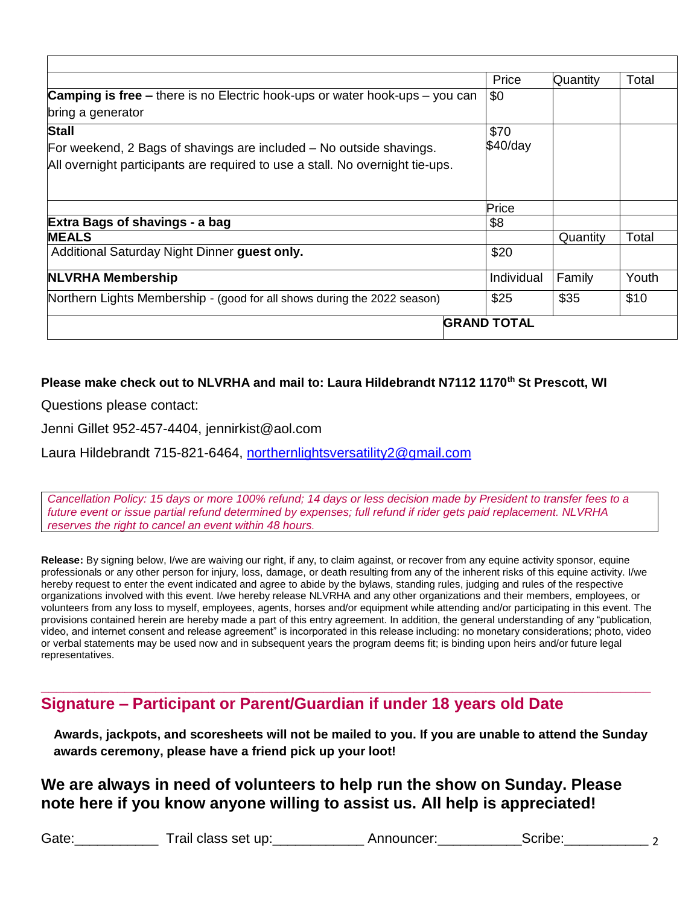|                                                                                    | Price              | Quantity | Total |
|------------------------------------------------------------------------------------|--------------------|----------|-------|
| <b>Camping is free – there is no Electric hook-ups or water hook-ups – you can</b> | \$0                |          |       |
| bring a generator                                                                  |                    |          |       |
| <b>Stall</b>                                                                       | \$70               |          |       |
| For weekend, 2 Bags of shavings are included – No outside shavings.                | $$40$ /day         |          |       |
| All overnight participants are required to use a stall. No overnight tie-ups.      |                    |          |       |
|                                                                                    |                    |          |       |
|                                                                                    | Price              |          |       |
| Extra Bags of shavings - a bag                                                     | \$8                |          |       |
| <b>MEALS</b>                                                                       |                    | Quantity | Total |
| Additional Saturday Night Dinner guest only.                                       | \$20               |          |       |
| <b>NLVRHA Membership</b>                                                           | Individual         | Family   | Youth |
| Northern Lights Membership - (good for all shows during the 2022 season)           | \$25               | \$35     | \$10  |
|                                                                                    | <b>GRAND TOTAL</b> |          |       |

#### **Please make check out to NLVRHA and mail to: Laura Hildebrandt N7112 1170th St Prescott, WI**

Questions please contact:

Jenni Gillet 952-457-4404, jennirkist@aol.com

Laura Hildebrandt 715-821-6464, [northernlightsversatility2@gmail.com](mailto:northernlightsversatility2@gmail.com)

*Cancellation Policy: 15 days or more 100% refund; 14 days or less decision made by President to transfer fees to a future event or issue partial refund determined by expenses; full refund if rider gets paid replacement. NLVRHA reserves the right to cancel an event within 48 hours.*

**Release:** By signing below, I/we are waiving our right, if any, to claim against, or recover from any equine activity sponsor, equine professionals or any other person for injury, loss, damage, or death resulting from any of the inherent risks of this equine activity. I/we hereby request to enter the event indicated and agree to abide by the bylaws, standing rules, judging and rules of the respective organizations involved with this event. I/we hereby release NLVRHA and any other organizations and their members, employees, or volunteers from any loss to myself, employees, agents, horses and/or equipment while attending and/or participating in this event. The provisions contained herein are hereby made a part of this entry agreement. In addition, the general understanding of any "publication, video, and internet consent and release agreement" is incorporated in this release including: no monetary considerations; photo, video or verbal statements may be used now and in subsequent years the program deems fit; is binding upon heirs and/or future legal representatives.

### **Signature – Participant or Parent/Guardian if under 18 years old Date**

**Awards, jackpots, and scoresheets will not be mailed to you. If you are unable to attend the Sunday awards ceremony, please have a friend pick up your loot!**

**\_\_\_\_\_\_\_\_\_\_\_\_\_\_\_\_\_\_\_\_\_\_\_\_\_\_\_\_\_\_\_\_\_\_\_\_\_\_\_\_\_\_\_\_\_\_\_\_\_\_\_\_\_\_\_\_\_\_\_\_\_\_\_\_\_\_\_\_\_\_\_\_\_\_\_\_\_\_\_\_**

### **We are always in need of volunteers to help run the show on Sunday. Please note here if you know anyone willing to assist us. All help is appreciated!**

Gate:\_\_\_\_\_\_\_\_\_\_\_ Trail class set up:\_\_\_\_\_\_\_\_\_\_\_\_ Announcer:\_\_\_\_\_\_\_\_\_\_\_Scribe:\_\_\_\_\_\_\_\_\_\_\_